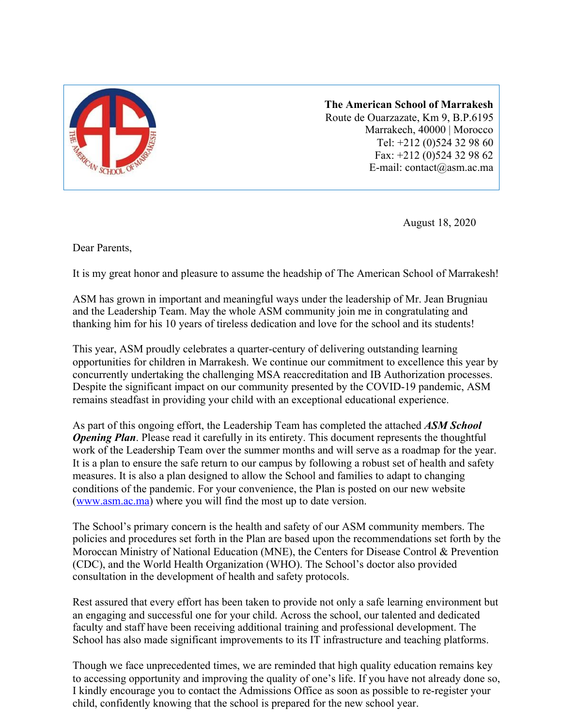

**The American School of Marrakesh** Route de Ouarzazate, Km 9, B.P.6195 Marrakech, 40000 | Morocco Tel: +212 (0)524 32 98 60 Fax: +212 (0)524 32 98 62 E-mail: contact@asm.ac.ma

August 18, 2020

Dear Parents,

It is my great honor and pleasure to assume the headship of The American School of Marrakesh!

ASM has grown in important and meaningful ways under the leadership of Mr. Jean Brugniau and the Leadership Team. May the whole ASM community join me in congratulating and thanking him for his 10 years of tireless dedication and love for the school and its students!

This year, ASM proudly celebrates a quarter-century of delivering outstanding learning opportunities for children in Marrakesh. We continue our commitment to excellence this year by concurrently undertaking the challenging MSA reaccreditation and IB Authorization processes. Despite the significant impact on our community presented by the COVID-19 pandemic, ASM remains steadfast in providing your child with an exceptional educational experience.

As part of this ongoing effort, the Leadership Team has completed the attached *ASM School* **Opening Plan**. Please read it carefully in its entirety. This document represents the thoughtful work of the Leadership Team over the summer months and will serve as a roadmap for the year. It is a plan to ensure the safe return to our campus by following a robust set of health and safety measures. It is also a plan designed to allow the School and families to adapt to changing conditions of the pandemic. For your convenience, the Plan is posted on our new website [\(www.asm.ac.ma\)](http://www.asm.ac.ma/) where you will find the most up to date version.

The School's primary concern is the health and safety of our ASM community members. The policies and procedures set forth in the Plan are based upon the recommendations set forth by the Moroccan Ministry of National Education (MNE), the Centers for Disease Control & Prevention (CDC), and the World Health Organization (WHO). The School's doctor also provided consultation in the development of health and safety protocols.

Rest assured that every effort has been taken to provide not only a safe learning environment but an engaging and successful one for your child. Across the school, our talented and dedicated faculty and staff have been receiving additional training and professional development. The School has also made significant improvements to its IT infrastructure and teaching platforms.

Though we face unprecedented times, we are reminded that high quality education remains key to accessing opportunity and improving the quality of one's life. If you have not already done so, I kindly encourage you to contact the Admissions Office as soon as possible to re-register your child, confidently knowing that the school is prepared for the new school year.